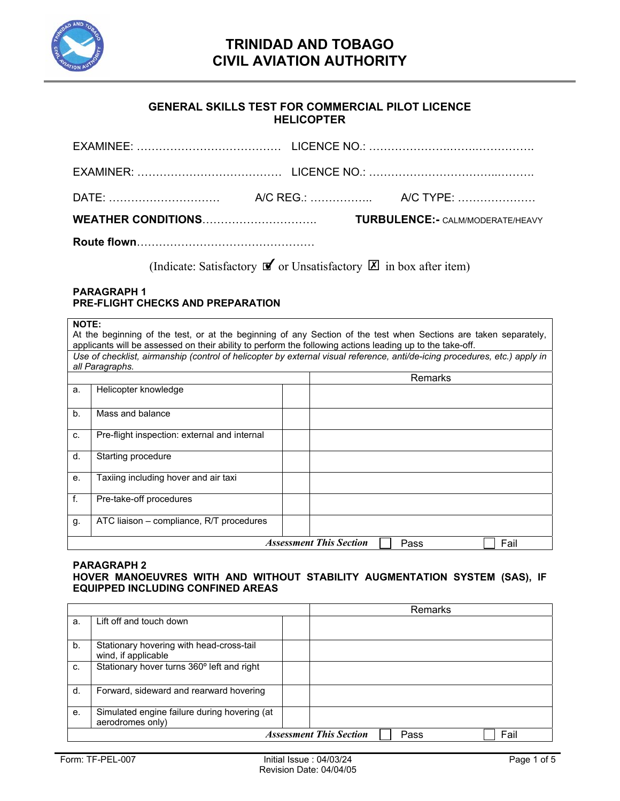

#### **GENERAL SKILLS TEST FOR COMMERCIAL PILOT LICENCE HELICOPTER**

(Indicate: Satisfactory  $\blacksquare$  or Unsatisfactory  $\blacksquare$  in box after item)

#### **PARAGRAPH 1 PRE-FLIGHT CHECKS AND PREPARATION**

## **NOTE:**

|                                                | At the beginning of the test, or at the beginning of any Section of the test when Sections are taken separately,<br>applicants will be assessed on their ability to perform the following actions leading up to the take-off. |  |  |  |         |  |  |
|------------------------------------------------|-------------------------------------------------------------------------------------------------------------------------------------------------------------------------------------------------------------------------------|--|--|--|---------|--|--|
|                                                | Use of checklist, airmanship (control of helicopter by external visual reference, anti/de-icing procedures, etc.) apply in<br>all Paragraphs.                                                                                 |  |  |  |         |  |  |
|                                                |                                                                                                                                                                                                                               |  |  |  | Remarks |  |  |
| a.                                             | Helicopter knowledge                                                                                                                                                                                                          |  |  |  |         |  |  |
| b.                                             | Mass and balance                                                                                                                                                                                                              |  |  |  |         |  |  |
| C.                                             | Pre-flight inspection: external and internal                                                                                                                                                                                  |  |  |  |         |  |  |
| d.                                             | Starting procedure                                                                                                                                                                                                            |  |  |  |         |  |  |
| e.                                             | Taxiing including hover and air taxi                                                                                                                                                                                          |  |  |  |         |  |  |
| f.                                             | Pre-take-off procedures                                                                                                                                                                                                       |  |  |  |         |  |  |
| g.                                             | ATC liaison – compliance, R/T procedures                                                                                                                                                                                      |  |  |  |         |  |  |
| <b>Assessment This Section</b><br>Fail<br>Pass |                                                                                                                                                                                                                               |  |  |  |         |  |  |

#### **PARAGRAPH 2 HOVER MANOEUVRES WITH AND WITHOUT STABILITY AUGMENTATION SYSTEM (SAS), IF EQUIPPED INCLUDING CONFINED AREAS**

|    |                                                                  |                                |      | Remarks |  |  |
|----|------------------------------------------------------------------|--------------------------------|------|---------|--|--|
| a. | Lift off and touch down                                          |                                |      |         |  |  |
| b. | Stationary hovering with head-cross-tail<br>wind, if applicable  |                                |      |         |  |  |
| C. | Stationary hover turns 360° left and right                       |                                |      |         |  |  |
| d. | Forward, sideward and rearward hovering                          |                                |      |         |  |  |
| е. | Simulated engine failure during hovering (at<br>aerodromes only) |                                |      |         |  |  |
|    |                                                                  | <b>Assessment This Section</b> | Pass | Fail    |  |  |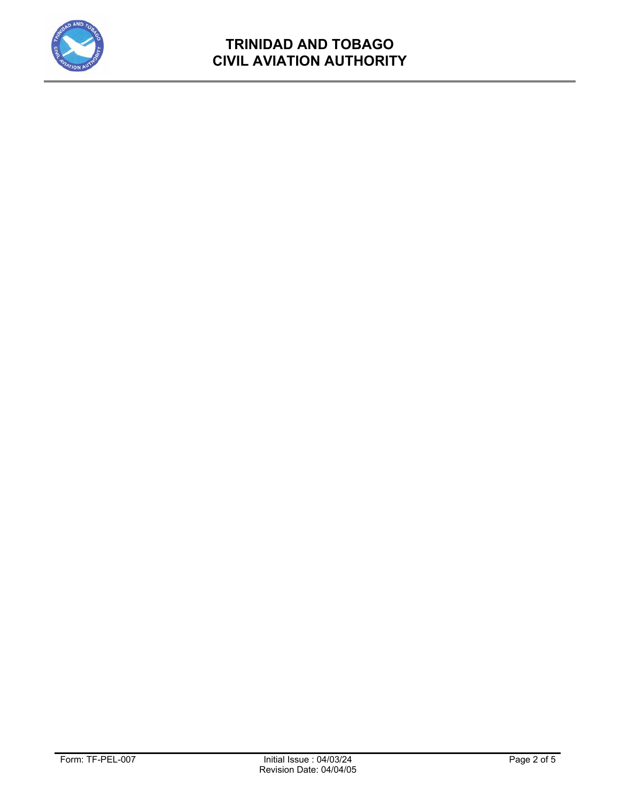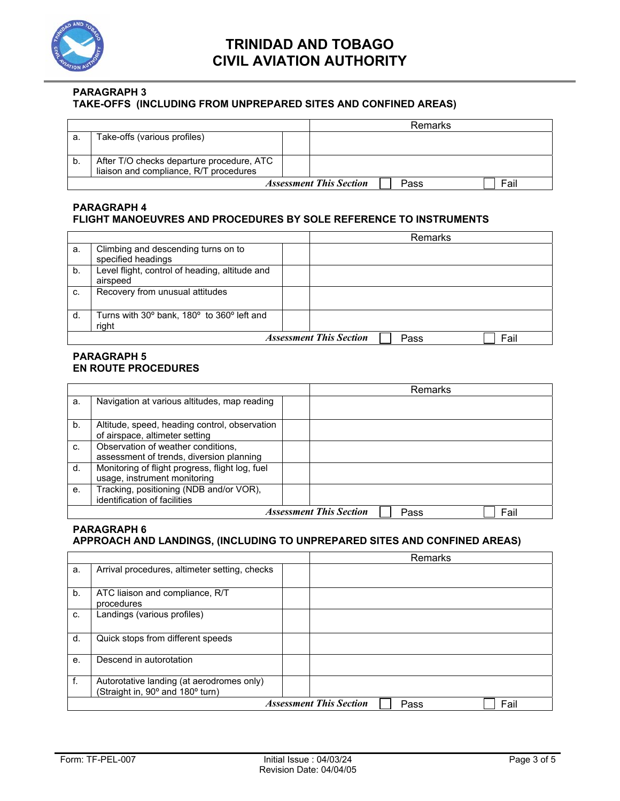

#### **PARAGRAPH 3 TAKE-OFFS (INCLUDING FROM UNPREPARED SITES AND CONFINED AREAS)**

|    |                                           | Remarks                                        |  |
|----|-------------------------------------------|------------------------------------------------|--|
| а. | Take-offs (various profiles)              |                                                |  |
|    |                                           |                                                |  |
| b. | After T/O checks departure procedure, ATC |                                                |  |
|    | liaison and compliance, R/T procedures    |                                                |  |
|    |                                           | <b>Assessment This Section</b><br>Fail<br>Pass |  |

#### **PARAGRAPH 4 FLIGHT MANOEUVRES AND PROCEDURES BY SOLE REFERENCE TO INSTRUMENTS**

|    |                                                            |                                |      |  | Remarks |  |
|----|------------------------------------------------------------|--------------------------------|------|--|---------|--|
| a. | Climbing and descending turns on to<br>specified headings  |                                |      |  |         |  |
| b. | Level flight, control of heading, altitude and<br>airspeed |                                |      |  |         |  |
| C. | Recovery from unusual attitudes                            |                                |      |  |         |  |
| d. | Turns with 30° bank, 180° to 360° left and<br>right        |                                |      |  |         |  |
|    |                                                            | <b>Assessment This Section</b> | Pass |  | Fail    |  |

#### **PARAGRAPH 5 EN ROUTE PROCEDURES**

|    |                                                                                 |                                | Remarks |      |
|----|---------------------------------------------------------------------------------|--------------------------------|---------|------|
| a. | Navigation at various altitudes, map reading                                    |                                |         |      |
| b. | Altitude, speed, heading control, observation<br>of airspace, altimeter setting |                                |         |      |
| C. | Observation of weather conditions,<br>assessment of trends, diversion planning  |                                |         |      |
| d. | Monitoring of flight progress, flight log, fuel<br>usage, instrument monitoring |                                |         |      |
| е. | Tracking, positioning (NDB and/or VOR),<br>identification of facilities         |                                |         |      |
|    |                                                                                 | <b>Assessment This Section</b> | Pass    | Fail |

#### **PARAGRAPH 6 APPROACH AND LANDINGS, (INCLUDING TO UNPREPARED SITES AND CONFINED AREAS)**

|    |                                                                               |                                | Remarks |      |
|----|-------------------------------------------------------------------------------|--------------------------------|---------|------|
| a. | Arrival procedures, altimeter setting, checks                                 |                                |         |      |
| b. | ATC liaison and compliance, R/T<br>procedures                                 |                                |         |      |
| C. | Landings (various profiles)                                                   |                                |         |      |
| d. | Quick stops from different speeds                                             |                                |         |      |
| е. | Descend in autorotation                                                       |                                |         |      |
| f. | Autorotative landing (at aerodromes only)<br>(Straight in, 90° and 180° turn) |                                |         |      |
|    |                                                                               | <b>Assessment This Section</b> | Pass    | Fail |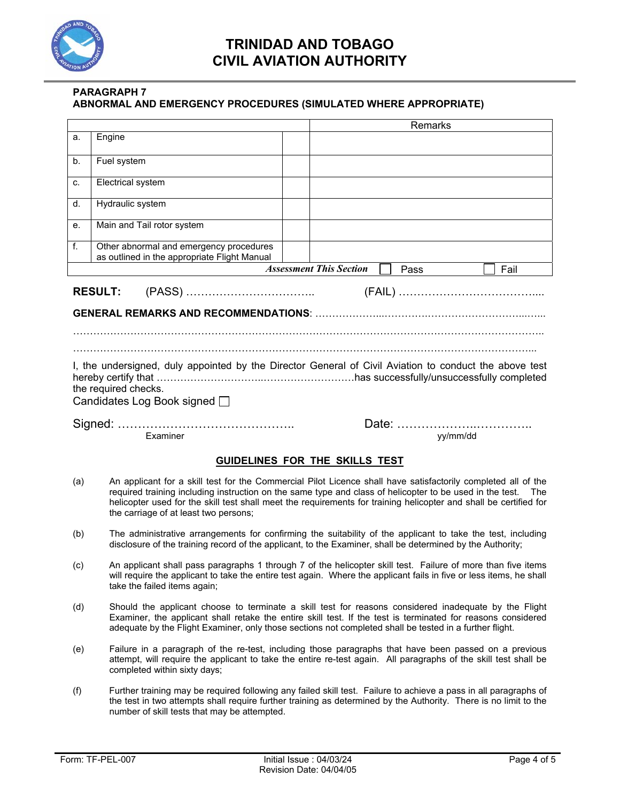

# **PARAGRAPH 7**

### **ABNORMAL AND EMERGENCY PROCEDURES (SIMULATED WHERE APPROPRIATE)**

|                                                                                                                                                                                                                                                                                                                                                                                                       |                                                                                                                                                                                                                                                                     | Remarks |                                |          |  |      |
|-------------------------------------------------------------------------------------------------------------------------------------------------------------------------------------------------------------------------------------------------------------------------------------------------------------------------------------------------------------------------------------------------------|---------------------------------------------------------------------------------------------------------------------------------------------------------------------------------------------------------------------------------------------------------------------|---------|--------------------------------|----------|--|------|
| a.                                                                                                                                                                                                                                                                                                                                                                                                    | Engine                                                                                                                                                                                                                                                              |         |                                |          |  |      |
| b.                                                                                                                                                                                                                                                                                                                                                                                                    | Fuel system                                                                                                                                                                                                                                                         |         |                                |          |  |      |
| C.                                                                                                                                                                                                                                                                                                                                                                                                    | Electrical system                                                                                                                                                                                                                                                   |         |                                |          |  |      |
| d.                                                                                                                                                                                                                                                                                                                                                                                                    | Hydraulic system                                                                                                                                                                                                                                                    |         |                                |          |  |      |
| е.                                                                                                                                                                                                                                                                                                                                                                                                    | Main and Tail rotor system                                                                                                                                                                                                                                          |         |                                |          |  |      |
| f.                                                                                                                                                                                                                                                                                                                                                                                                    | Other abnormal and emergency procedures<br>as outlined in the appropriate Flight Manual                                                                                                                                                                             |         |                                |          |  |      |
|                                                                                                                                                                                                                                                                                                                                                                                                       |                                                                                                                                                                                                                                                                     |         | <b>Assessment This Section</b> | Pass     |  | Fail |
|                                                                                                                                                                                                                                                                                                                                                                                                       | <b>RESULT:</b>                                                                                                                                                                                                                                                      |         |                                |          |  |      |
| I, the undersigned, duly appointed by the Director General of Civil Aviation to conduct the above test<br>the required checks.<br>Candidates Log Book signed □                                                                                                                                                                                                                                        |                                                                                                                                                                                                                                                                     |         |                                |          |  |      |
|                                                                                                                                                                                                                                                                                                                                                                                                       | Examiner                                                                                                                                                                                                                                                            |         |                                | yy/mm/dd |  |      |
|                                                                                                                                                                                                                                                                                                                                                                                                       |                                                                                                                                                                                                                                                                     |         | GUIDELINES FOR THE SKILLS TEST |          |  |      |
| An applicant for a skill test for the Commercial Pilot Licence shall have satisfactorily completed all of the<br>(a)<br>required training including instruction on the same type and class of helicopter to be used in the test.<br>The<br>helicopter used for the skill test shall meet the requirements for training helicopter and shall be certified for<br>the carriage of at least two persons; |                                                                                                                                                                                                                                                                     |         |                                |          |  |      |
| (b)                                                                                                                                                                                                                                                                                                                                                                                                   | The administrative arrangements for confirming the suitability of the applicant to take the test, including<br>disclosure of the training record of the applicant, to the Examiner, shall be determined by the Authority;                                           |         |                                |          |  |      |
| (c)                                                                                                                                                                                                                                                                                                                                                                                                   | An applicant shall pass paragraphs 1 through 7 of the helicopter skill test. Failure of more than five items<br>will require the applicant to take the entire test again. Where the applicant fails in five or less items, he shall<br>take the failed items again; |         |                                |          |  |      |
| (d)<br>Should the applicant choose to terminate a skill test for reasons considered inadequate by the Flight<br>Examiner, the applicant shall retake the entire skill test. If the test is terminated for reasons considered<br>adequate by the Flight Examiner, only those sections not completed shall be tested in a further flight.                                                               |                                                                                                                                                                                                                                                                     |         |                                |          |  |      |
| (e)                                                                                                                                                                                                                                                                                                                                                                                                   | Failure in a paragraph of the re-test, including those paragraphs that have been passed on a previous<br>attempt, will require the applicant to take the entire re-test again. All paragraphs of the skill test shall be<br>completed within sixty days;            |         |                                |          |  |      |
| (f)                                                                                                                                                                                                                                                                                                                                                                                                   | Further training may be required following any failed skill test. Failure to achieve a pass in all paragraphs of<br>the test in two attempts shall require further training as determined by the Authority. There is no limit to the                                |         |                                |          |  |      |

number of skill tests that may be attempted.